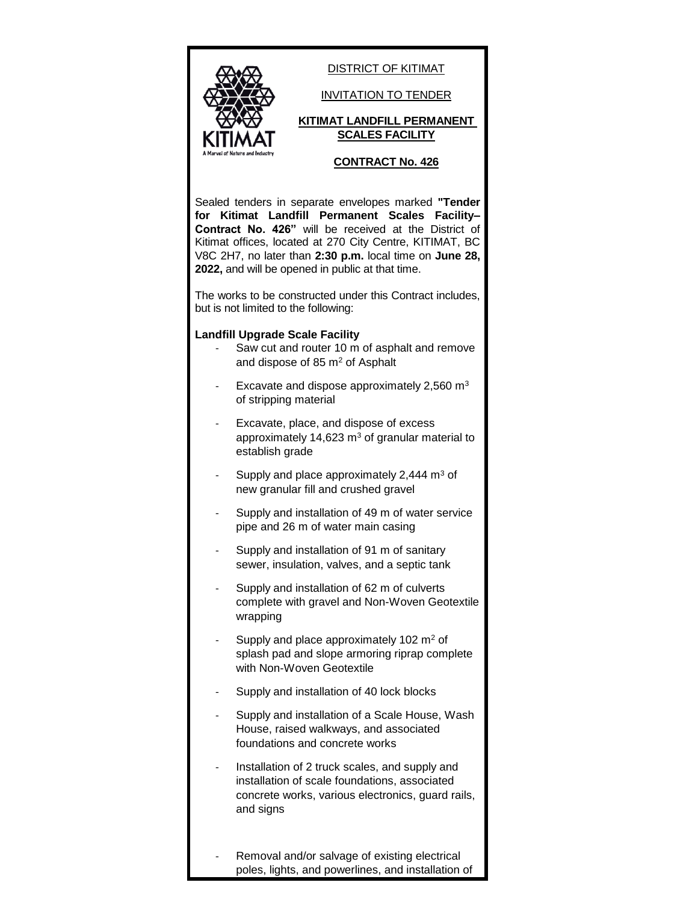

DISTRICT OF KITIMAT

INVITATION TO TENDER

## **KITIMAT LANDFILL PERMANENT SCALES FACILITY**

## **CONTRACT No. 426**

Sealed tenders in separate envelopes marked **"Tender for Kitimat Landfill Permanent Scales Facility– Contract No. 426"** will be received at the District of Kitimat offices, located at 270 City Centre, KITIMAT, BC V8C 2H7, no later than **2:30 p.m.** local time on **June 28, 2022,** and will be opened in public at that time.

The works to be constructed under this Contract includes, but is not limited to the following:

## **Landfill Upgrade Scale Facility**

- Saw cut and router 10 m of asphalt and remove and dispose of 85 m<sup>2</sup> of Asphalt
- Excavate and dispose approximately  $2,560$  m<sup>3</sup> of stripping material
- Excavate, place, and dispose of excess approximately 14,623  $m<sup>3</sup>$  of granular material to establish grade
- Supply and place approximately 2,444  $m<sup>3</sup>$  of new granular fill and crushed gravel
- Supply and installation of 49 m of water service pipe and 26 m of water main casing
- Supply and installation of 91 m of sanitary sewer, insulation, valves, and a septic tank
- Supply and installation of 62 m of culverts complete with gravel and Non-Woven Geotextile wrapping
- Supply and place approximately 102 m<sup>2</sup> of splash pad and slope armoring riprap complete with Non-Woven Geotextile
- Supply and installation of 40 lock blocks
- Supply and installation of a Scale House, Wash House, raised walkways, and associated foundations and concrete works
- Installation of 2 truck scales, and supply and installation of scale foundations, associated concrete works, various electronics, guard rails, and signs
- Removal and/or salvage of existing electrical poles, lights, and powerlines, and installation of